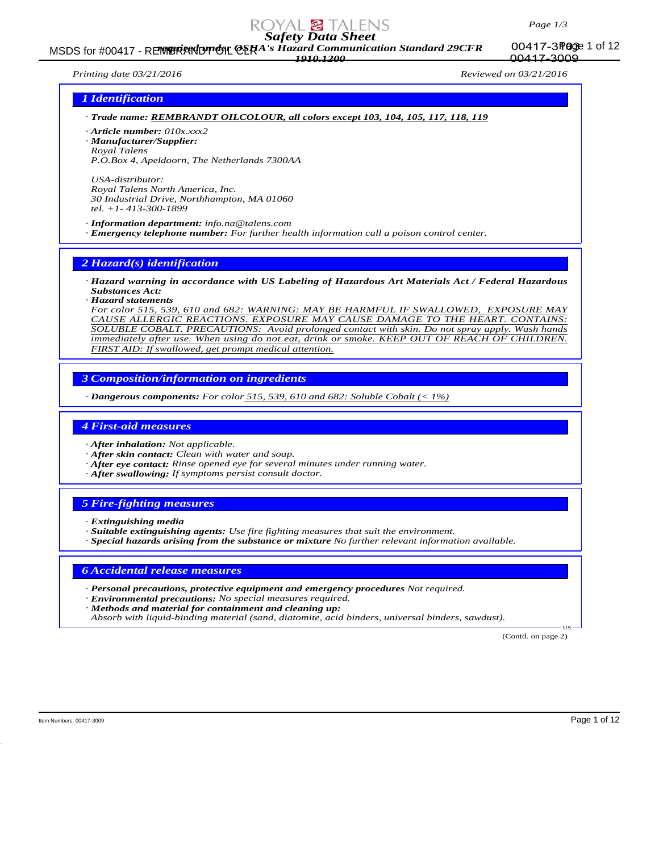

MSDS for #00417 - REMBRIANDT ON CERA's Hazard Communication Standard 29CFR 00417-3POGE 1 of 12 *1910.1200*

00417-3 Page 1 of 12 00417-3009

*Printing date 03/21/2016 Reviewed on 03/21/2016*

# *1 Identification*

*· Trade name: REMBRANDT OILCOLOUR, all colors except 103, 104, 105, 117, 118, 119*

*· Article number: 010x.xxx2*

*· Manufacturer/Supplier: Royal Talens P.O.Box 4, Apeldoorn, The Netherlands 7300AA*

*USA-distributor: Royal Talens North America, Inc. 30 Industrial Drive, Northhampton, MA 01060 tel. +1- 413-300-1899*

*· Information department: info.na@talens.com · Emergency telephone number: For further health information call a poison control center.*

*2 Hazard(s) identification*

*· Hazard warning in accordance with US Labeling of Hazardous Art Materials Act / Federal Hazardous Substances Act:*

*· Hazard statements*

*For color 515, 539, 610 and 682: WARNING: MAY BE HARMFUL IF SWALLOWED, EXPOSURE MAY CAUSE ALLERGIC REACTIONS. EXPOSURE MAY CAUSE DAMAGE TO THE HEART. CONTAINS: SOLUBLE COBALT. PRECAUTIONS: Avoid prolonged contact with skin. Do not spray apply. Wash hands immediately after use. When using do not eat, drink or smoke. KEEP OUT OF REACH OF CHILDREN. FIRST AID: If swallowed, get prompt medical attention.*

*3 Composition/information on ingredients*

*· Dangerous components: For color 515, 539, 610 and 682: Soluble Cobalt (< 1%)*

#### *4 First-aid measures*

*· After inhalation: Not applicable.*

- *· After skin contact: Clean with water and soap.*
- *· After eye contact: Rinse opened eye for several minutes under running water.*
- *· After swallowing: If symptoms persist consult doctor.*

# *5 Fire-fighting measures*

- *· Extinguishing media*
- *· Suitable extinguishing agents: Use fire fighting measures that suit the environment.*
- *· Special hazards arising from the substance or mixture No further relevant information available.*

#### *6 Accidental release measures*

- *· Personal precautions, protective equipment and emergency procedures Not required.*
- *· Environmental precautions: No special measures required.*
- *· Methods and material for containment and cleaning up:*

*Absorb with liquid-binding material (sand, diatomite, acid binders, universal binders, sawdust).*

(Contd. on page 2)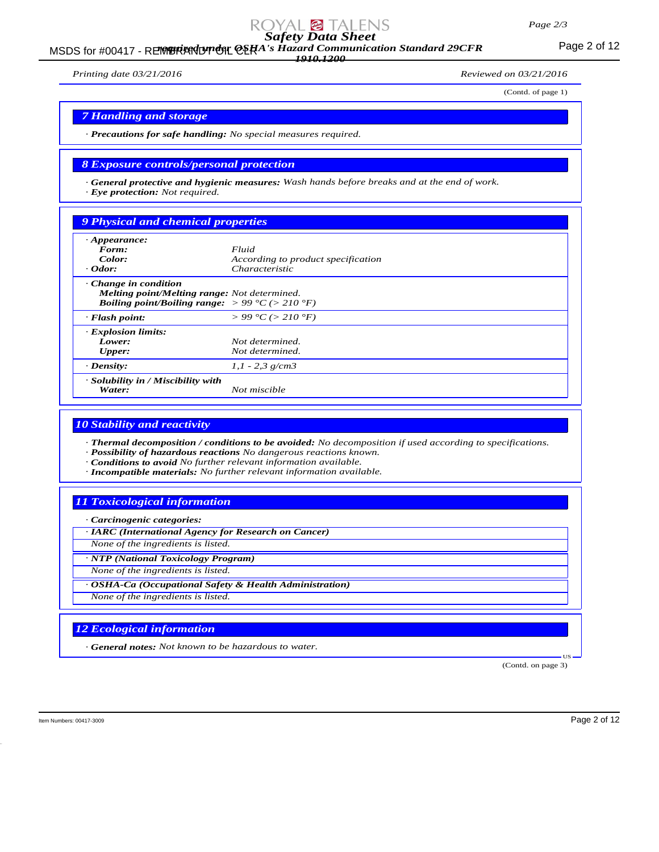# *Page 2/3*

*Safety Data Sheet*

MSDS for #00417 - REMBRANDT ON CERA's Hazard Communication Standard 29CFR<br>MSDS for #00417 - REMBRANDT ON CERA's Hazard Communication Standard 29CFR

*1910.1200*

*Printing date 03/21/2016 Reviewed on 03/21/2016*

(Contd. of page 1)

*7 Handling and storage*

*· Precautions for safe handling: No special measures required.*

# *8 Exposure controls/personal protection*

*· General protective and hygienic measures: Wash hands before breaks and at the end of work. · Eye protection: Not required.*

# *9 Physical and chemical properties*

| $\cdot$ Appearance:<br>Form:<br>Color:<br>$\cdot$ Odor:                                                                                                   | Fluid<br>According to product specification<br><i>Characteristic</i> |
|-----------------------------------------------------------------------------------------------------------------------------------------------------------|----------------------------------------------------------------------|
| $\cdot$ Change in condition<br>Melting point/Melting range: Not determined.<br><b>Boiling point/Boiling range:</b> $> 99 \degree C$ ( $> 210 \degree F$ ) |                                                                      |
| $\cdot$ Flash point:                                                                                                                                      | $> 99 \degree C$ ( $> 210 \degree F$ )                               |
| <b>Explosion limits:</b><br>Lower:<br><b>Upper:</b>                                                                                                       | Not determined.<br>Not determined.                                   |
| $\cdot$ Density:                                                                                                                                          | $1,1 - 2,3$ g/cm3                                                    |
| · Solubility in / Miscibility with<br>Water:                                                                                                              | Not miscible                                                         |

#### *10 Stability and reactivity*

*· Thermal decomposition / conditions to be avoided: No decomposition if used according to specifications. · Possibility of hazardous reactions No dangerous reactions known.*

*· Conditions to avoid No further relevant information available.*

*· Incompatible materials: No further relevant information available.*

# *11 Toxicological information*

*· Carcinogenic categories:*

*· IARC (International Agency for Research on Cancer) None of the ingredients is listed.*

*· NTP (National Toxicology Program)*

*None of the ingredients is listed.*

*· OSHA-Ca (Occupational Safety & Health Administration) None of the ingredients is listed.*

# *12 Ecological information*

*· General notes: Not known to be hazardous to water.*

(Contd. on page 3)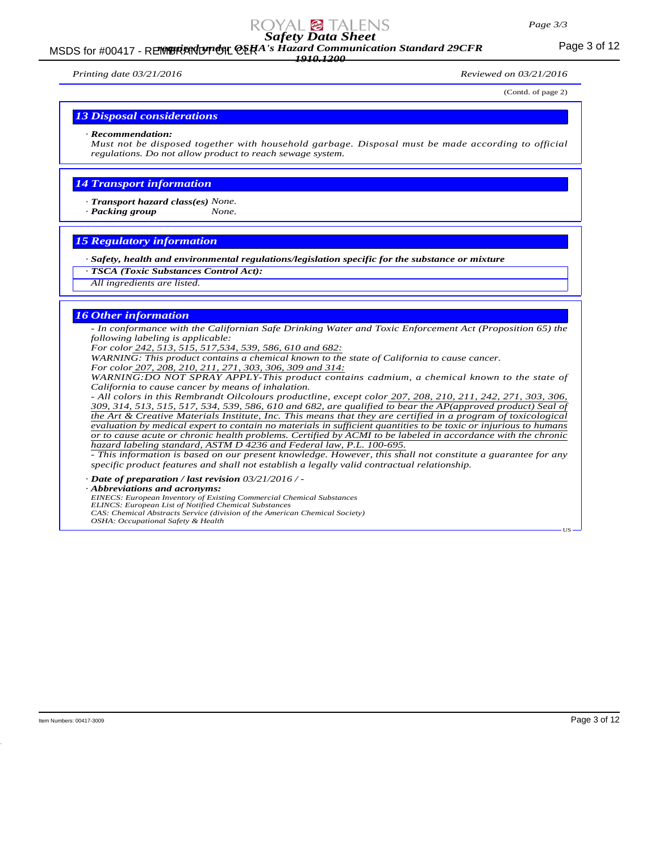# MSDS for #00417 - REMBRANDT ON CERA's Hazard Communication Standard 29CFR<br>MSDS for #00417 - REMBRANDT ON CERA's Hazard Communication Standard 29CFR *1910.1200*

*Printing date 03/21/2016 Reviewed on 03/21/2016*

(Contd. of page 2)

#### *13 Disposal considerations*

#### *· Recommendation:*

*Must not be disposed together with household garbage. Disposal must be made according to official regulations. Do not allow product to reach sewage system.*

# *14 Transport information*

*· Transport hazard class(es) None.*

*· Packing group None.*

# *15 Regulatory information*

*· Safety, health and environmental regulations/legislation specific for the substance or mixture*

- *· TSCA (Toxic Substances Control Act):*
- *All ingredients are listed.*

#### *16 Other information*

*- In conformance with the Californian Safe Drinking Water and Toxic Enforcement Act (Proposition 65) the following labeling is applicable:*

*For color 242, 513, 515, 517,534, 539, 586, 610 and 682:*

*WARNING: This product contains a chemical known to the state of California to cause cancer.*

*For color 207, 208, 210, 211, 271, 303, 306, 309 and 314:*

*WARNING:DO NOT SPRAY APPLY-This product contains cadmium, a chemical known to the state of California to cause cancer by means of inhalation.*

*- All colors in this Rembrandt Oilcolours productline, except color 207, 208, 210, 211, 242, 271, 303, 306, 309, 314, 513, 515, 517, 534, 539, 586, 610 and 682, are qualified to bear the AP(approved product) Seal of the Art & Creative Materials Institute, Inc. This means that they are certified in a program of toxicological evaluation by medical expert to contain no materials in sufficient quantities to be toxic or injurious to humans or to cause acute or chronic health problems. Certified by ACMI to be labeled in accordance with the chronic hazard labeling standard, ASTM D 4236 and Federal law, P.L. 100-695.*

*- This information is based on our present knowledge. However, this shall not constitute a guarantee for any specific product features and shall not establish a legally valid contractual relationship.*

*· Date of preparation / last revision 03/21/2016 / -*

*· Abbreviations and acronyms:*

*EINECS: European Inventory of Existing Commercial Chemical Substances ELINCS: European List of Notified Chemical Substances*

*CAS: Chemical Abstracts Service (division of the American Chemical Society)*

*OSHA: Occupational Safety & Health*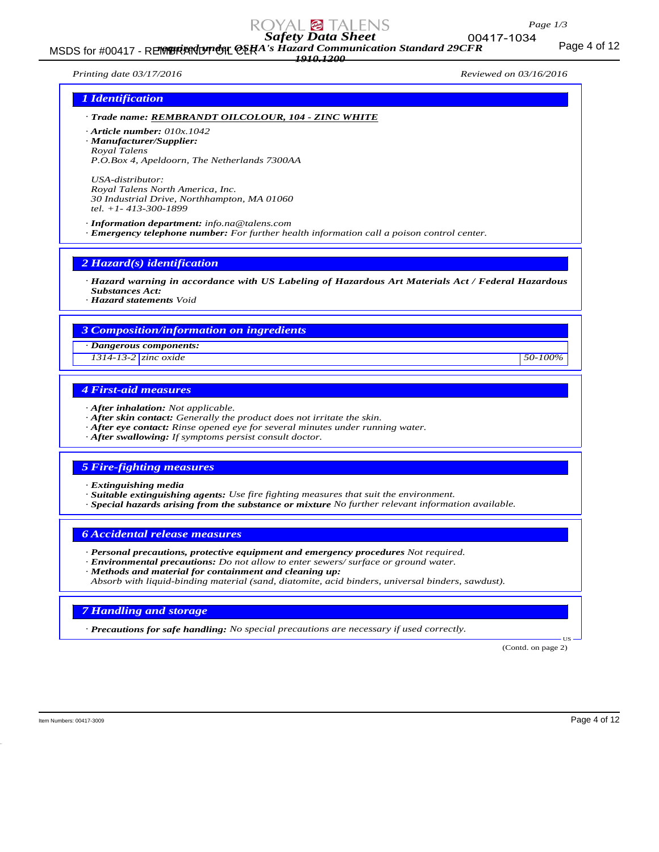MSDS for #00417 - REMBRANDT ON CERA's Hazard Communication Standard 29CFR<br>MSDS for #00417 - REMBRANDT ON CERA's Hazard Communication Standard 29CFR *1910.1200*

*Printing date 03/17/2016 Reviewed on 03/16/2016*

# *1 Identification*

- *· Trade name: REMBRANDT OILCOLOUR, 104 ZINC WHITE*
- *· Article number: 010x.1042*
- *· Manufacturer/Supplier:*
- *Royal Talens P.O.Box 4, Apeldoorn, The Netherlands 7300AA*

*USA-distributor: Royal Talens North America, Inc. 30 Industrial Drive, Northhampton, MA 01060 tel. +1- 413-300-1899*

*· Information department: info.na@talens.com · Emergency telephone number: For further health information call a poison control center.*

*2 Hazard(s) identification*

- *· Hazard warning in accordance with US Labeling of Hazardous Art Materials Act / Federal Hazardous Substances Act:*
- *· Hazard statements Void*

# *3 Composition/information on ingredients*

*· Dangerous components:*

*1314-13-2 zinc oxide 50-100%*

# *4 First-aid measures*

- *· After inhalation: Not applicable.*
- *· After skin contact: Generally the product does not irritate the skin.*
- *· After eye contact: Rinse opened eye for several minutes under running water.*
- *· After swallowing: If symptoms persist consult doctor.*

# *5 Fire-fighting measures*

- *· Extinguishing media*
- *· Suitable extinguishing agents: Use fire fighting measures that suit the environment.*
- *· Special hazards arising from the substance or mixture No further relevant information available.*

#### *6 Accidental release measures*

- *· Personal precautions, protective equipment and emergency procedures Not required.*
- *· Environmental precautions: Do not allow to enter sewers/ surface or ground water.*
- *· Methods and material for containment and cleaning up:*
- *Absorb with liquid-binding material (sand, diatomite, acid binders, universal binders, sawdust).*

#### *7 Handling and storage*

*· Precautions for safe handling: No special precautions are necessary if used correctly.*

(Contd. on page 2)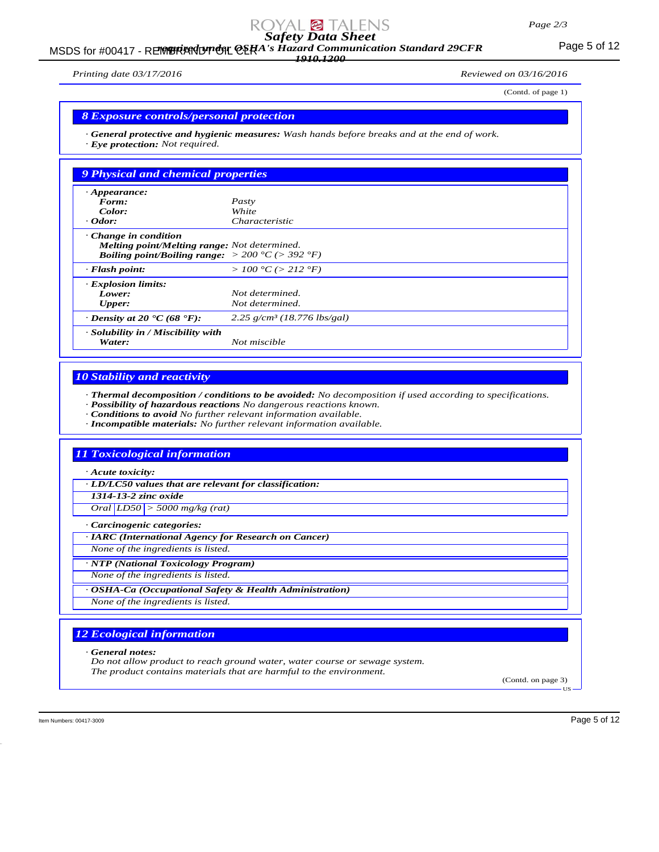# MSDS for #00417 - REMBRANDT ON CERA's Hazard Communication Standard 29CFR<br>MSDS for #00417 - REMBRANDT ON CERA's Hazard Communication Standard 29CFR *1910.1200*

(Contd. of page 1)

*· General protective and hygienic measures: Wash hands before breaks and at the end of work. · Eye protection: Not required.*

| $\cdot$ Appearance:<br>Form:                                                                                                                               | Pasty                                     |  |
|------------------------------------------------------------------------------------------------------------------------------------------------------------|-------------------------------------------|--|
| Color:                                                                                                                                                     | White                                     |  |
| $\cdot$ Odor:                                                                                                                                              | Characteristic                            |  |
| $\cdot$ Change in condition<br>Melting point/Melting range: Not determined.<br><b>Boiling point/Boiling range:</b> $> 200 \degree C$ ( $> 392 \degree F$ ) |                                           |  |
| $\cdot$ Flash point:                                                                                                                                       | >100 °C (> 212 °F)                        |  |
| <b>Explosion limits:</b>                                                                                                                                   |                                           |  |
| Lower:                                                                                                                                                     | Not determined.                           |  |
| <b>Upper:</b>                                                                                                                                              | Not determined.                           |  |
| $\cdot$ Density at 20 $\cdot$ C (68 $\cdot$ F):                                                                                                            | $2.25$ g/cm <sup>3</sup> (18.776 lbs/gal) |  |
| · Solubility in / Miscibility with<br>Water:                                                                                                               | Not miscible                              |  |

# *10 Stability and reactivity*

*· Thermal decomposition / conditions to be avoided: No decomposition if used according to specifications.*

- *· Possibility of hazardous reactions No dangerous reactions known.*
- *· Conditions to avoid No further relevant information available.*
- *· Incompatible materials: No further relevant information available.*

# *11 Toxicological information*

*· Acute toxicity:*

*· LD/LC50 values that are relevant for classification:*

*1314-13-2 zinc oxide*

*Oral LD50 > 5000 mg/kg (rat)*

*· Carcinogenic categories:*

*· IARC (International Agency for Research on Cancer)*

*None of the ingredients is listed.*

*· NTP (National Toxicology Program)*

*None of the ingredients is listed.*

*· OSHA-Ca (Occupational Safety & Health Administration)*

*None of the ingredients is listed.*

# *12 Ecological information*

*· General notes:*

*Do not allow product to reach ground water, water course or sewage system. The product contains materials that are harmful to the environment.*

(Contd. on page 3) US

Item Numbers: 00417-3009 Page 5 of 12

*Printing date 03/17/2016 Reviewed on 03/16/2016*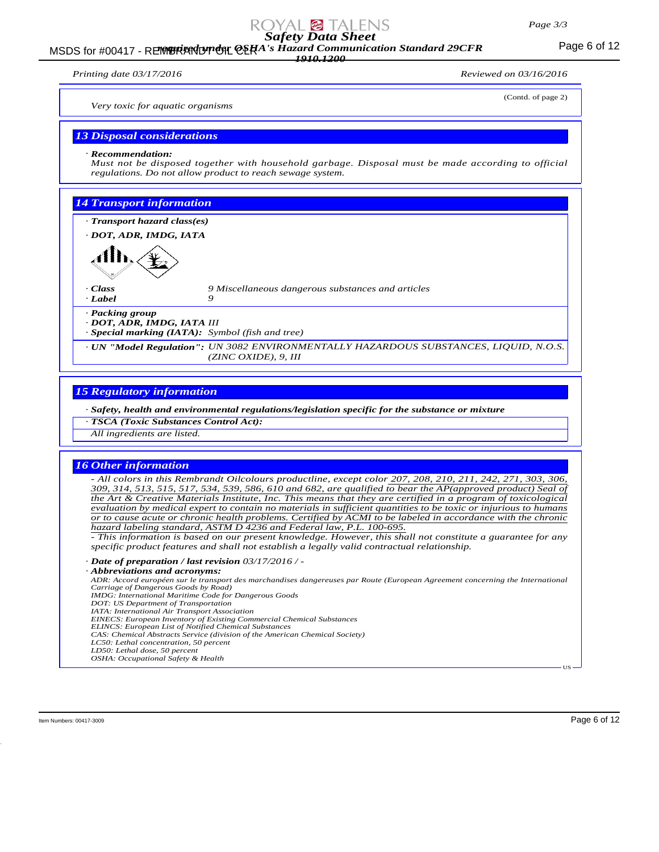#### *Page 3/3*

# *Safety Data Sheet*

# MSDS for #00417 - REMBRANDT ON CERA's Hazard Communication Standard 29CFR<br>MSDS for #00417 - REMBRANDT ON CERA's Hazard Communication Standard 29CFR *1910.1200*

*Printing date 03/17/2016 Reviewed on 03/16/2016*

| $1.7588$ and $0.971772010$                    |                                                           |                                                                                                   |
|-----------------------------------------------|-----------------------------------------------------------|---------------------------------------------------------------------------------------------------|
| Very toxic for aquatic organisms              |                                                           | (Contd. of page 2)                                                                                |
| <b>13 Disposal considerations</b>             |                                                           |                                                                                                   |
| $\cdot$ Recommendation:                       | regulations. Do not allow product to reach sewage system. | Must not be disposed together with household garbage. Disposal must be made according to official |
| <b>14 Transport information</b>               |                                                           |                                                                                                   |
| · Transport hazard class(es)                  |                                                           |                                                                                                   |
| · DOT, ADR, IMDG, IATA                        |                                                           |                                                                                                   |
|                                               |                                                           |                                                                                                   |
| $\cdot$ Class<br>$\cdot$ Label                | 9 Miscellaneous dangerous substances and articles<br>9    |                                                                                                   |
| · Packing group<br>· DOT, ADR, IMDG, IATA III | $\cdot$ Special marking (IATA): Symbol (fish and tree)    |                                                                                                   |
|                                               | $(ZINC OXIDE)$ , 9, III                                   | · UN "Model Regulation": UN 3082 ENVIRONMENTALLY HAZARDOUS SUBSTANCES, LIQUID, N.O.S.             |

# *15 Regulatory information*

*· Safety, health and environmental regulations/legislation specific for the substance or mixture*

*· TSCA (Toxic Substances Control Act):*

*All ingredients are listed.*

#### *16 Other information*

*- All colors in this Rembrandt Oilcolours productline, except color 207, 208, 210, 211, 242, 271, 303, 306, 309, 314, 513, 515, 517, 534, 539, 586, 610 and 682, are qualified to bear the AP(approved product) Seal of the Art & Creative Materials Institute, Inc. This means that they are certified in a program of toxicological evaluation by medical expert to contain no materials in sufficient quantities to be toxic or injurious to humans or to cause acute or chronic health problems. Certified by ACMI to be labeled in accordance with the chronic hazard labeling standard, ASTM D 4236 and Federal law, P.L. 100-695.*

*- This information is based on our present knowledge. However, this shall not constitute a guarantee for any specific product features and shall not establish a legally valid contractual relationship.*

*· Date of preparation / last revision 03/17/2016 / -*

#### *· Abbreviations and acronyms:*

*ADR: Accord européen sur le transport des marchandises dangereuses par Route (European Agreement concerning the International Carriage of Dangerous Goods by Road)*

- *IMDG: International Maritime Code for Dangerous Goods*
- *DOT: US Department of Transportation*
- *IATA: International Air Transport Association EINECS: European Inventory of Existing Commercial Chemical Substances*
- *ELINCS: European List of Notified Chemical Substances*
- *CAS: Chemical Abstracts Service (division of the American Chemical Society)*
- *LC50: Lethal concentration, 50 percent LD50: Lethal dose, 50 percent*
- *OSHA: Occupational Safety & Health*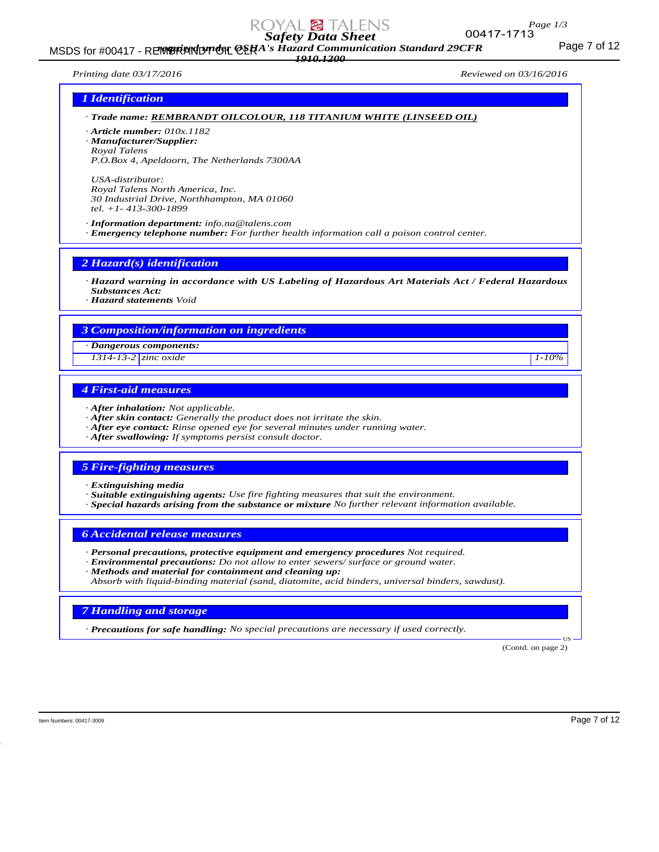MSDS for #00417 - REMBRANDT ON CERA's Hazard Communication Standard 29CFR<br>MSDS for #00417 - REMBRANDT ON CERA's Hazard Communication Standard 29CFR *1910.1200*

*Printing date 03/17/2016 Reviewed on 03/16/2016*

# *1 Identification*

# *· Trade name: REMBRANDT OILCOLOUR, 118 TITANIUM WHITE (LINSEED OIL)*

*· Article number: 010x.1182*

*· Manufacturer/Supplier: Royal Talens*

*P.O.Box 4, Apeldoorn, The Netherlands 7300AA*

*USA-distributor: Royal Talens North America, Inc. 30 Industrial Drive, Northhampton, MA 01060 tel. +1- 413-300-1899*

*· Information department: info.na@talens.com · Emergency telephone number: For further health information call a poison control center.*

*2 Hazard(s) identification*

*· Hazard warning in accordance with US Labeling of Hazardous Art Materials Act / Federal Hazardous Substances Act:*

*· Hazard statements Void*

# *3 Composition/information on ingredients*

*· Dangerous components:*

*1314-13-2 zinc oxide 1-10%*

# *4 First-aid measures*

- *· After inhalation: Not applicable.*
- *· After skin contact: Generally the product does not irritate the skin.*
- *· After eye contact: Rinse opened eye for several minutes under running water.*
- *· After swallowing: If symptoms persist consult doctor.*

# *5 Fire-fighting measures*

- *· Extinguishing media*
- *· Suitable extinguishing agents: Use fire fighting measures that suit the environment.*
- *· Special hazards arising from the substance or mixture No further relevant information available.*

#### *6 Accidental release measures*

- *· Personal precautions, protective equipment and emergency procedures Not required.*
- *· Environmental precautions: Do not allow to enter sewers/ surface or ground water.*
- *· Methods and material for containment and cleaning up:*

*Absorb with liquid-binding material (sand, diatomite, acid binders, universal binders, sawdust).*

# *7 Handling and storage*

*· Precautions for safe handling: No special precautions are necessary if used correctly.*

(Contd. on page 2)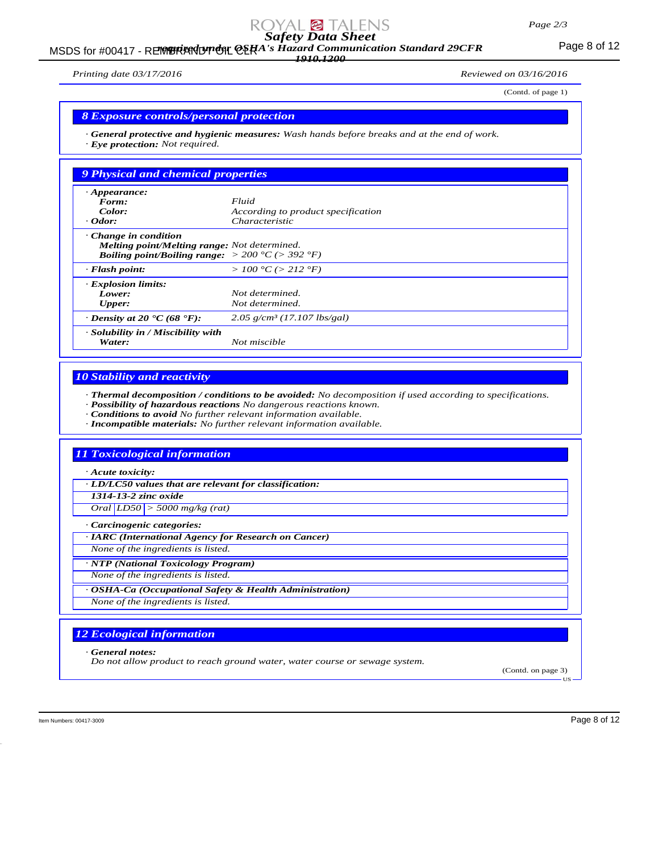# MSDS for #00417 - REMBRANDT ON CERA's Hazard Communication Standard 29CFR<br>MSDS for #00417 - REMBRANDT ON CERA's Hazard Communication Standard 29CFR *1910.1200*

*Printing date 03/17/2016 Reviewed on 03/16/2016*

(Contd. of page 1)

#### *8 Exposure controls/personal protection*

*· General protective and hygienic measures: Wash hands before breaks and at the end of work. · Eye protection: Not required.*

| 9 Physical and chemical properties                                                                                                                        |                                           |  |
|-----------------------------------------------------------------------------------------------------------------------------------------------------------|-------------------------------------------|--|
| $\cdot$ Appearance:                                                                                                                                       |                                           |  |
| Form:                                                                                                                                                     | Fluid                                     |  |
| Color:                                                                                                                                                    | According to product specification        |  |
| $\cdot$ Odor:                                                                                                                                             | <i>Characteristic</i>                     |  |
| Change in condition<br><b>Melting point/Melting range:</b> Not determined.<br><b>Boiling point/Boiling range:</b> $> 200 \degree C$ ( $> 392 \degree F$ ) |                                           |  |
| $\cdot$ Flash point:                                                                                                                                      | >100 °C (> 212 °F)                        |  |
| · Explosion limits:                                                                                                                                       |                                           |  |
| Lower:                                                                                                                                                    | Not determined.                           |  |
| Upper:                                                                                                                                                    | Not determined.                           |  |
| $\cdot$ Density at 20 $\cdot$ C (68 $\cdot$ F):                                                                                                           | $2.05$ g/cm <sup>3</sup> (17.107 lbs/gal) |  |
| · Solubility in / Miscibility with<br>Water:                                                                                                              | Not miscible                              |  |

# *10 Stability and reactivity*

*· Thermal decomposition / conditions to be avoided: No decomposition if used according to specifications.*

- *· Possibility of hazardous reactions No dangerous reactions known.*
- *· Conditions to avoid No further relevant information available.*
- *· Incompatible materials: No further relevant information available.*

# *11 Toxicological information*

*· Acute toxicity:*

*· LD/LC50 values that are relevant for classification:*

*1314-13-2 zinc oxide*

*Oral LD50 > 5000 mg/kg (rat)*

*· Carcinogenic categories:*

*· IARC (International Agency for Research on Cancer)*

*None of the ingredients is listed.*

*· NTP (National Toxicology Program)*

*None of the ingredients is listed.*

*· OSHA-Ca (Occupational Safety & Health Administration)*

*None of the ingredients is listed.*

# *12 Ecological information*

*· General notes:*

*Do not allow product to reach ground water, water course or sewage system.*

(Contd. on page 3)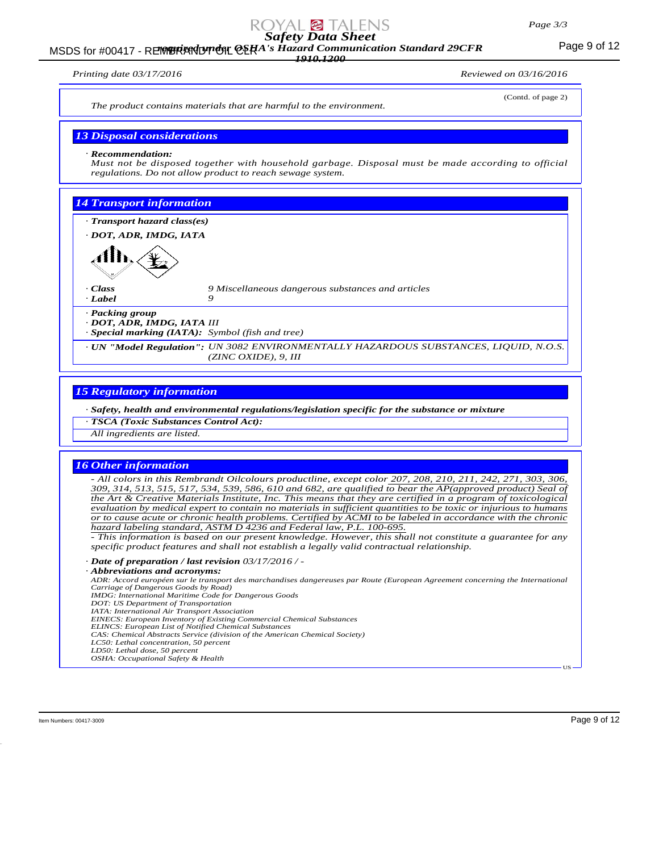#### *Page 3/3*

# *Safety Data Sheet*

# MSDS for #00417 - REMBRANDT ON CERA's Hazard Communication Standard 29CFR<br>MSDS for #00417 - REMBRANDT ON CERA's Hazard Communication Standard 29CFR *1910.1200*

*Printing date 03/17/2016 Reviewed on 03/16/2016*

(Contd. of page 2) *The product contains materials that are harmful to the environment. 13 Disposal considerations · Recommendation: Must not be disposed together with household garbage. Disposal must be made according to official regulations. Do not allow product to reach sewage system. 14 Transport information · Transport hazard class(es) · DOT, ADR, IMDG, IATA · Class 9 Miscellaneous dangerous substances and articles · Label 9 · Packing group · DOT, ADR, IMDG, IATA III · Special marking (IATA): Symbol (fish and tree) · UN "Model Regulation": UN 3082 ENVIRONMENTALLY HAZARDOUS SUBSTANCES, LIQUID, N.O.S. (ZINC OXIDE), 9, III*

# *15 Regulatory information*

*· Safety, health and environmental regulations/legislation specific for the substance or mixture*

*· TSCA (Toxic Substances Control Act):*

*All ingredients are listed.*

#### *16 Other information*

*- All colors in this Rembrandt Oilcolours productline, except color 207, 208, 210, 211, 242, 271, 303, 306, 309, 314, 513, 515, 517, 534, 539, 586, 610 and 682, are qualified to bear the AP(approved product) Seal of the Art & Creative Materials Institute, Inc. This means that they are certified in a program of toxicological evaluation by medical expert to contain no materials in sufficient quantities to be toxic or injurious to humans or to cause acute or chronic health problems. Certified by ACMI to be labeled in accordance with the chronic hazard labeling standard, ASTM D 4236 and Federal law, P.L. 100-695.*

*- This information is based on our present knowledge. However, this shall not constitute a guarantee for any specific product features and shall not establish a legally valid contractual relationship.*

*· Date of preparation / last revision 03/17/2016 / -*

#### *· Abbreviations and acronyms:*

*ADR: Accord européen sur le transport des marchandises dangereuses par Route (European Agreement concerning the International Carriage of Dangerous Goods by Road)*

- *IMDG: International Maritime Code for Dangerous Goods*
- *DOT: US Department of Transportation*
- *IATA: International Air Transport Association EINECS: European Inventory of Existing Commercial Chemical Substances*
- *ELINCS: European List of Notified Chemical Substances*
- *CAS: Chemical Abstracts Service (division of the American Chemical Society)*
- *LC50: Lethal concentration, 50 percent LD50: Lethal dose, 50 percent*
- *OSHA: Occupational Safety & Health*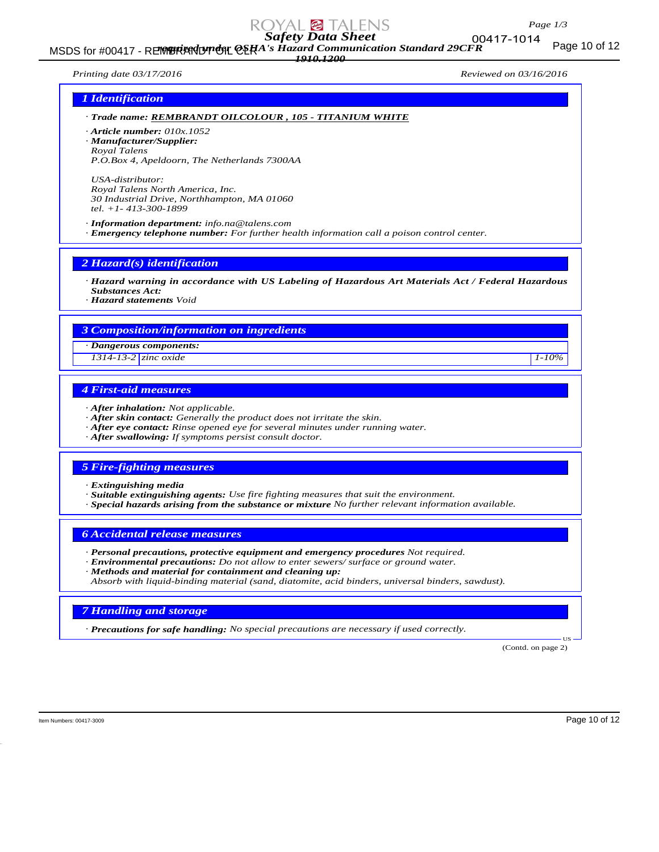

MSDS for #00417 - REMBRANDT ON CERA's Hazard Communication Standard 29CFR<br>MSDS for #00417 - REMBRANDT ON CERA's Hazard Communication Standard 29CFR *1910.1200*

00417-1014

#### *Printing date 03/17/2016 Reviewed on 03/16/2016*

# *1 Identification*

*· Trade name: REMBRANDT OILCOLOUR , 105 - TITANIUM WHITE*

*· Article number: 010x.1052*

*· Manufacturer/Supplier: Royal Talens*

*P.O.Box 4, Apeldoorn, The Netherlands 7300AA*

*USA-distributor: Royal Talens North America, Inc. 30 Industrial Drive, Northhampton, MA 01060 tel. +1- 413-300-1899*

*· Information department: info.na@talens.com · Emergency telephone number: For further health information call a poison control center.*

*2 Hazard(s) identification*

*· Hazard warning in accordance with US Labeling of Hazardous Art Materials Act / Federal Hazardous Substances Act:*

*· Hazard statements Void*

# *3 Composition/information on ingredients*

*· Dangerous components:*

*1314-13-2 zinc oxide 1-10%*

# *4 First-aid measures*

- *· After inhalation: Not applicable.*
- *· After skin contact: Generally the product does not irritate the skin.*
- *· After eye contact: Rinse opened eye for several minutes under running water.*
- *· After swallowing: If symptoms persist consult doctor.*

# *5 Fire-fighting measures*

- *· Extinguishing media*
- *· Suitable extinguishing agents: Use fire fighting measures that suit the environment.*
- *· Special hazards arising from the substance or mixture No further relevant information available.*

#### *6 Accidental release measures*

- *· Personal precautions, protective equipment and emergency procedures Not required.*
- *· Environmental precautions: Do not allow to enter sewers/ surface or ground water.*
- *· Methods and material for containment and cleaning up:*

*Absorb with liquid-binding material (sand, diatomite, acid binders, universal binders, sawdust).*

#### *7 Handling and storage*

*· Precautions for safe handling: No special precautions are necessary if used correctly.*

(Contd. on page 2)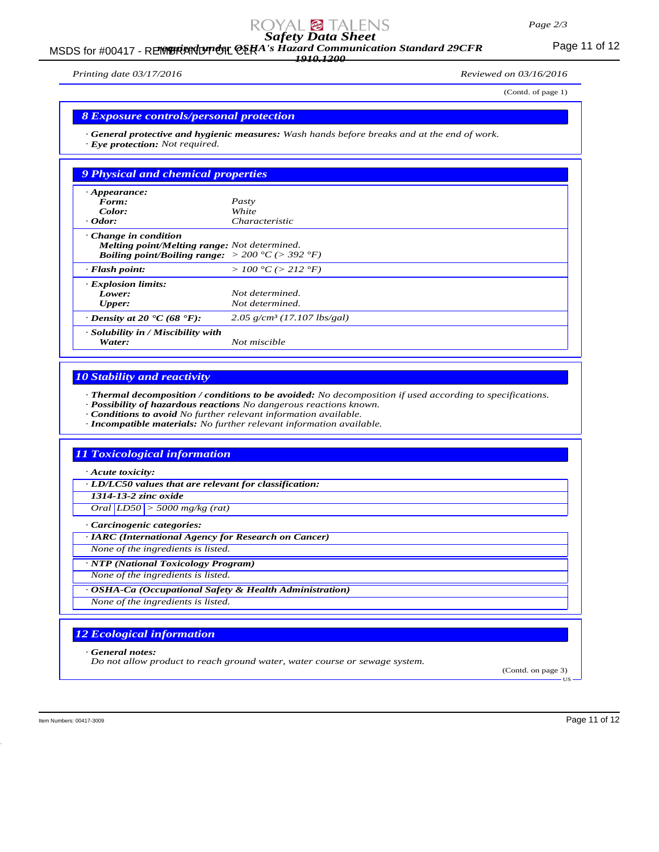# MSDS for #00417 - REMBRANDT ON CERA's Hazard Communication Standard 29CFR<br>MSDS for #00417 - REMBRANDT ON CERA's Hazard Communication Standard 29CFR *1910.1200*

*Printing date 03/17/2016 Reviewed on 03/16/2016*

(Contd. of page 1)

#### *8 Exposure controls/personal protection*

*· General protective and hygienic measures: Wash hands before breaks and at the end of work. · Eye protection: Not required.*

| 9 Physical and chemical properties                                                                                                                 |                                           |
|----------------------------------------------------------------------------------------------------------------------------------------------------|-------------------------------------------|
| $\cdot$ Appearance:                                                                                                                                |                                           |
| Form:                                                                                                                                              | Pasty                                     |
| Color:                                                                                                                                             | White                                     |
| $\cdot$ Odor:                                                                                                                                      | Characteristic                            |
| Change in condition<br>Melting point/Melting range: Not determined.<br><b>Boiling point/Boiling range:</b> $> 200 \degree C$ ( $> 392 \degree F$ ) |                                           |
| $\cdot$ Flash point:                                                                                                                               | > 100 °C (> 212 °F)                       |
| · Explosion limits:                                                                                                                                |                                           |
| Lower:                                                                                                                                             | Not determined.                           |
| <b>Upper:</b>                                                                                                                                      | Not determined.                           |
| $\cdot$ Density at 20 $\cdot$ C (68 $\cdot$ F):                                                                                                    | $2.05$ g/cm <sup>3</sup> (17.107 lbs/gal) |
| · Solubility in / Miscibility with<br>Water:                                                                                                       | Not miscible                              |

# *10 Stability and reactivity*

*· Thermal decomposition / conditions to be avoided: No decomposition if used according to specifications.*

*· Possibility of hazardous reactions No dangerous reactions known.*

*· Conditions to avoid No further relevant information available.*

*· Incompatible materials: No further relevant information available.*

# *11 Toxicological information*

*· Acute toxicity:*

*· LD/LC50 values that are relevant for classification:*

*1314-13-2 zinc oxide*

*Oral LD50 > 5000 mg/kg (rat)*

*· Carcinogenic categories:*

*· IARC (International Agency for Research on Cancer)*

*None of the ingredients is listed.*

*· NTP (National Toxicology Program)*

*None of the ingredients is listed.*

*· OSHA-Ca (Occupational Safety & Health Administration)*

*None of the ingredients is listed.*

# *12 Ecological information*

*· General notes:*

*Do not allow product to reach ground water, water course or sewage system.*

(Contd. on page 3)